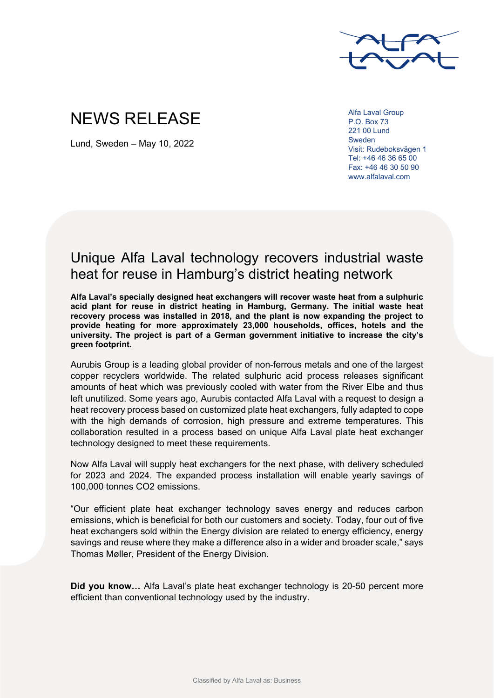

## NEWS RELEASE

Lund, Sweden – May 10, 2022

Alfa Laval Group P.O. Box 73 221 00 Lund Sweden Visit: Rudeboksvägen 1 Tel: +46 46 36 65 00 Fax: +46 46 30 50 90 www.alfalaval.com

## Unique Alfa Laval technology recovers industrial waste heat for reuse in Hamburg's district heating network

**Alfa Laval's specially designed heat exchangers will recover waste heat from a sulphuric acid plant for reuse in district heating in Hamburg, Germany. The initial waste heat recovery process was installed in 2018, and the plant is now expanding the project to provide heating for more approximately 23,000 households, offices, hotels and the university. The project is part of a German government initiative to increase the city's green footprint.** 

Aurubis Group is a leading global provider of non-ferrous metals and one of the largest copper recyclers worldwide. The related sulphuric acid process releases significant amounts of heat which was previously cooled with water from the River Elbe and thus left unutilized. Some years ago, Aurubis contacted Alfa Laval with a request to design a heat recovery process based on customized plate heat exchangers, fully adapted to cope with the high demands of corrosion, high pressure and extreme temperatures. This collaboration resulted in a process based on unique Alfa Laval plate heat exchanger technology designed to meet these requirements.

Now Alfa Laval will supply heat exchangers for the next phase, with delivery scheduled for 2023 and 2024. The expanded process installation will enable yearly savings of 100,000 tonnes CO2 emissions.

"Our efficient plate heat exchanger technology saves energy and reduces carbon emissions, which is beneficial for both our customers and society. Today, four out of five heat exchangers sold within the Energy division are related to energy efficiency, energy savings and reuse where they make a difference also in a wider and broader scale," says Thomas Møller, President of the Energy Division.

**Did you know…** Alfa Laval's plate heat exchanger technology is 20-50 percent more efficient than conventional technology used by the industry.